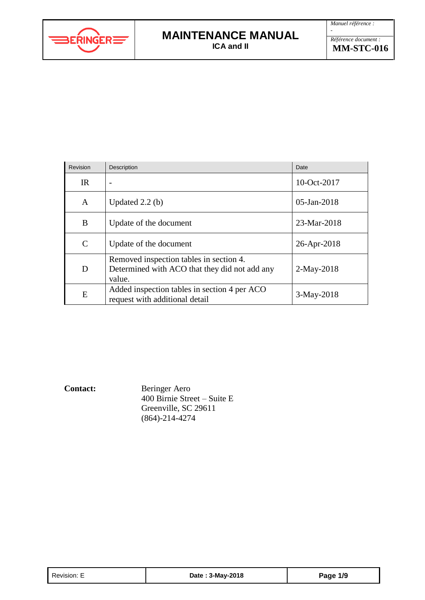

### **MAINTENANCE MANUAL ICA and II**

| Revision      | Description                                                                                        | Date           |
|---------------|----------------------------------------------------------------------------------------------------|----------------|
| IR            |                                                                                                    | 10-Oct-2017    |
| A             | Updated $2.2$ (b)                                                                                  | $05$ -Jan-2018 |
| B             | Update of the document                                                                             | 23-Mar-2018    |
| $\mathcal{C}$ | Update of the document                                                                             | 26-Apr-2018    |
| D             | Removed inspection tables in section 4.<br>Determined with ACO that they did not add any<br>value. | $2-May-2018$   |
| E             | Added inspection tables in section 4 per ACO<br>request with additional detail                     | $3-May-2018$   |

**Contact:** Beringer Aero 400 Birnie Street – Suite E Greenville, SC 29611 (864)-214-4274

| Revision: E | Date: 3-May-2018 | Page 1/9 |
|-------------|------------------|----------|
|             |                  |          |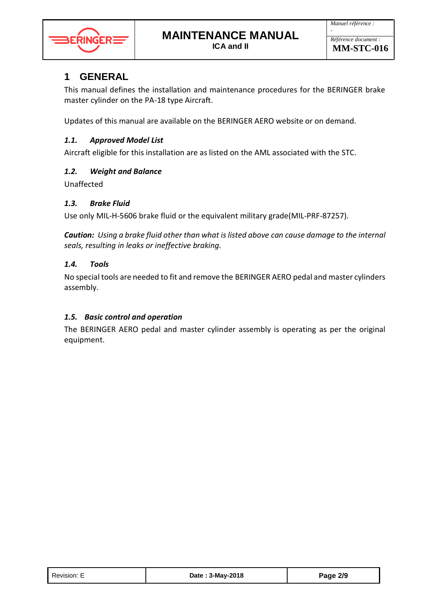

## **1 GENERAL**

This manual defines the installation and maintenance procedures for the BERINGER brake master cylinder on the PA-18 type Aircraft.

Updates of this manual are available on the BERINGER AERO website or on demand.

#### *1.1. Approved Model List*

Aircraft eligible for this installation are as listed on the AML associated with the STC.

#### *1.2. Weight and Balance*

Unaffected

#### *1.3. Brake Fluid*

Use only MIL-H-5606 brake fluid or the equivalent military grade(MIL-PRF-87257).

*Caution: Using a brake fluid other than what is listed above can cause damage to the internal seals, resulting in leaks or ineffective braking.*

#### *1.4. Tools*

No special tools are needed to fit and remove the BERINGER AERO pedal and master cylinders assembly.

### *1.5. Basic control and operation*

The BERINGER AERO pedal and master cylinder assembly is operating as per the original equipment.

| Revision: E | Date: 3-May-2018 | Page 2/9 |
|-------------|------------------|----------|
|-------------|------------------|----------|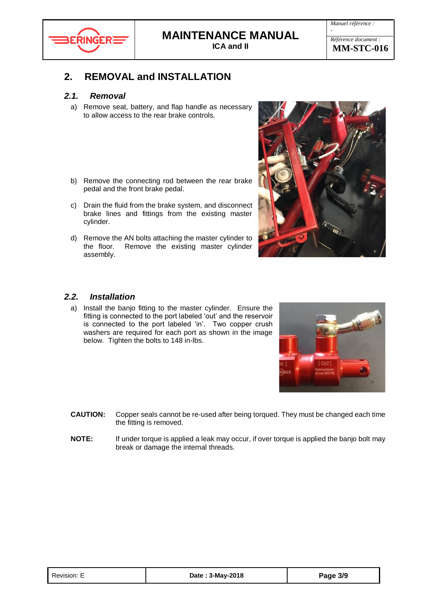

*Référence document :* **MM-STC-016**

## **2. REMOVAL and INSTALLATION**

#### *2.1. Removal*

- a) Remove seat, battery, and flap handle as necessary to allow access to the rear brake controls.
- b) Remove the connecting rod between the rear brake pedal and the front brake pedal.
- c) Drain the fluid from the brake system, and disconnect brake lines and fittings from the existing master cylinder.
- d) Remove the AN bolts attaching the master cylinder to the floor. Remove the existing master cylinder assembly.



#### *2.2. Installation*

a) Install the banjo fitting to the master cylinder. Ensure the fitting is connected to the port labeled 'out' and the reservoir is connected to the port labeled 'in'. Two copper crush washers are required for each port as shown in the image below. Tighten the bolts to 148 in-lbs.

- **CAUTION:** Copper seals cannot be re-used after being torqued. They must be changed each time the fitting is removed.
- **NOTE:** If under torque is applied a leak may occur, if over torque is applied the banjo bolt may break or damage the internal threads.

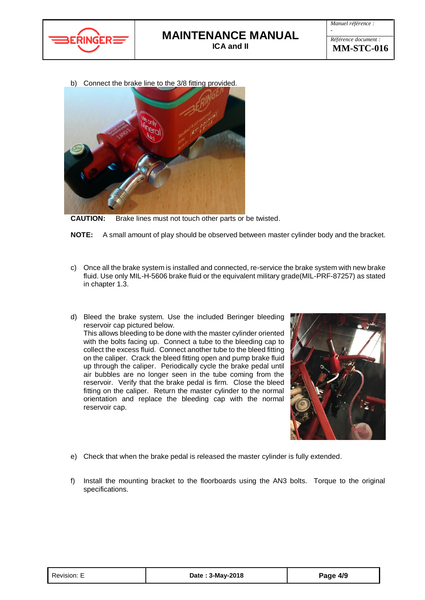



b) Connect the brake line to the 3/8 fitting provided.



**CAUTION:** Brake lines must not touch other parts or be twisted.

**NOTE:** A small amount of play should be observed between master cylinder body and the bracket.

- c) Once all the brake system is installed and connected, re-service the brake system with new brake fluid. Use only MIL-H-5606 brake fluid or the equivalent military grade(MIL-PRF-87257) as stated in chapter 1.3.
- d) Bleed the brake system. Use the included Beringer bleeding reservoir cap pictured below. This allows bleeding to be done with the master cylinder oriented with the bolts facing up. Connect a tube to the bleeding cap to collect the excess fluid. Connect another tube to the bleed fitting on the caliper. Crack the bleed fitting open and pump brake fluid up through the caliper. Periodically cycle the brake pedal until air bubbles are no longer seen in the tube coming from the reservoir. Verify that the brake pedal is firm. Close the bleed

orientation and replace the bleeding cap with the normal



- e) Check that when the brake pedal is released the master cylinder is fully extended.
- f) Install the mounting bracket to the floorboards using the AN3 bolts. Torque to the original specifications.

| Revision: E |  |
|-------------|--|
|             |  |

reservoir cap.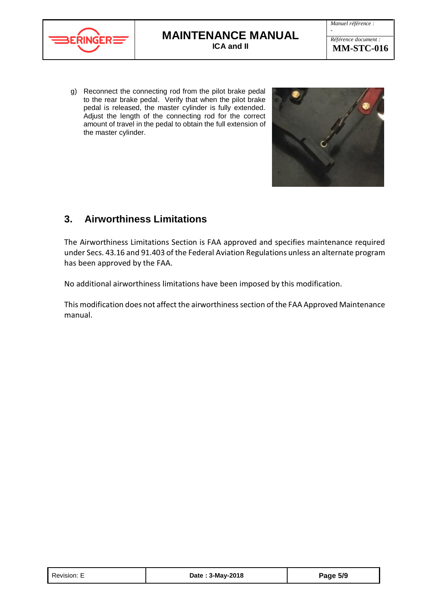

### **MAINTENANCE MANUAL ICA and II**

*-*

*Référence document :* **MM-STC-016**

g) Reconnect the connecting rod from the pilot brake pedal to the rear brake pedal. Verify that when the pilot brake pedal is released, the master cylinder is fully extended. Adjust the length of the connecting rod for the correct amount of travel in the pedal to obtain the full extension of the master cylinder.



# **3. Airworthiness Limitations**

The Airworthiness Limitations Section is FAA approved and specifies maintenance required under Secs. 43.16 and 91.403 of the Federal Aviation Regulations unless an alternate program has been approved by the FAA.

No additional airworthiness limitations have been imposed by this modification.

This modification does not affect the airworthiness section of the FAA Approved Maintenance manual.

| Revision: E | Date: 3-May-2018 | Page 5/9 |
|-------------|------------------|----------|
|-------------|------------------|----------|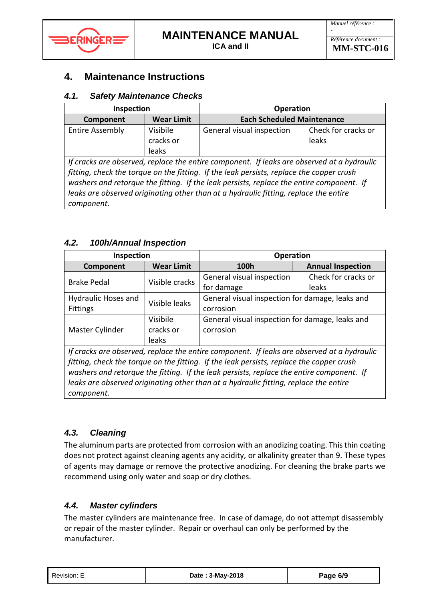

# **4. Maintenance Instructions**

### *4.1. Safety Maintenance Checks*

| <b>Inspection</b>                                                                          |                   | <b>Operation</b>                  |                     |  |
|--------------------------------------------------------------------------------------------|-------------------|-----------------------------------|---------------------|--|
| Component                                                                                  | <b>Wear Limit</b> | <b>Each Scheduled Maintenance</b> |                     |  |
| <b>Entire Assembly</b>                                                                     | Visibile          | General visual inspection         | Check for cracks or |  |
|                                                                                            | cracks or         |                                   | leaks               |  |
|                                                                                            | leaks             |                                   |                     |  |
| If cracks are observed, replace the entire component. If leaks are observed at a hydraulic |                   |                                   |                     |  |
| fitting, check the torque on the fitting. If the leak persists, replace the copper crush   |                   |                                   |                     |  |
| washers and retorque the fitting. If the leak persists, replace the entire component. If   |                   |                                   |                     |  |
| leaks are observed originating other than at a hydraulic fitting, replace the entire       |                   |                                   |                     |  |
| component.                                                                                 |                   |                                   |                     |  |

### *4.2. 100h/Annual Inspection*

| Inspection        |                                                 | <b>Operation</b>         |  |
|-------------------|-------------------------------------------------|--------------------------|--|
| <b>Wear Limit</b> | 100h                                            | <b>Annual Inspection</b> |  |
|                   | General visual inspection                       | Check for cracks or      |  |
|                   | for damage                                      | leaks                    |  |
|                   | General visual inspection for damage, leaks and |                          |  |
|                   | corrosion                                       |                          |  |
| Visibile          | General visual inspection for damage, leaks and |                          |  |
| cracks or         | corrosion                                       |                          |  |
| leaks             |                                                 |                          |  |
|                   | Visible cracks<br>Visible leaks                 |                          |  |

*If cracks are observed, replace the entire component. If leaks are observed at a hydraulic fitting, check the torque on the fitting. If the leak persists, replace the copper crush washers and retorque the fitting. If the leak persists, replace the entire component. If leaks are observed originating other than at a hydraulic fitting, replace the entire component.*

## *4.3. Cleaning*

The aluminum parts are protected from corrosion with an anodizing coating. This thin coating does not protect against cleaning agents any acidity, or alkalinity greater than 9. These types of agents may damage or remove the protective anodizing. For cleaning the brake parts we recommend using only water and soap or dry clothes.

### *4.4. Master cylinders*

The master cylinders are maintenance free. In case of damage, do not attempt disassembly or repair of the master cylinder. Repair or overhaul can only be performed by the manufacturer.

| Revision: E | Date: 3-May-2018 | Page 6/9 |
|-------------|------------------|----------|
|             |                  |          |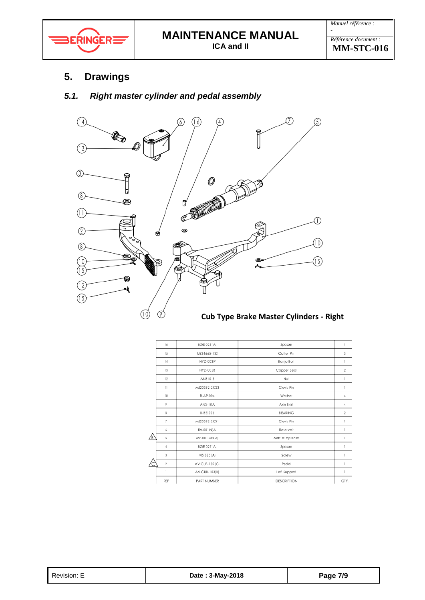

*Référence document :* **MM-STC-016**

# **5. Drawings**

# *5.1. Right master cylinder and pedal assembly*



|    | 16           | <b>BGE-029 A</b>  | Spacer             |              |
|----|--------------|-------------------|--------------------|--------------|
|    | 15           | MS24665-132       | Cotter Pin         | 3            |
|    | 14           | HYD-003P          | Banjo Bolt         |              |
|    | 13           | HYD-005B          | Copper Seal        | $\mathbf{2}$ |
|    | 12           | AN310-3           | Nut                |              |
|    | $\mathbb{1}$ | MS20392-2C23      | Clevis Pin         |              |
|    | 10           | R-AP-004          | Washer             | 4            |
|    | 9            | AN3-10A           | Axie bolt          | 4            |
|    | 8            | $B - B E 006$     | <b>BEARING</b>     | $\bar{2}$    |
|    | 7            | MS20392-2C41      | Clevis Pin         |              |
|    | 6            | RV-001N(A)        | Reservoir          |              |
| /B | 5            | MP-001.4N  A      | Master cylinder    |              |
|    | 4            | <b>BGE-027 A </b> | Spacer             |              |
|    | 3            | VIS-025   A)      | Screw              |              |
|    | $\hat{2}$    | AV-CUB-102 C      | Pedal              |              |
|    | ı            | AV-CUB-103 B      | Left Support       |              |
|    | REP          | PART NUMBER       | <b>DESCRIPTION</b> | QTY.         |

| Revision: E | Date: 3-May-2018 | Page 7/9 |
|-------------|------------------|----------|
|             |                  |          |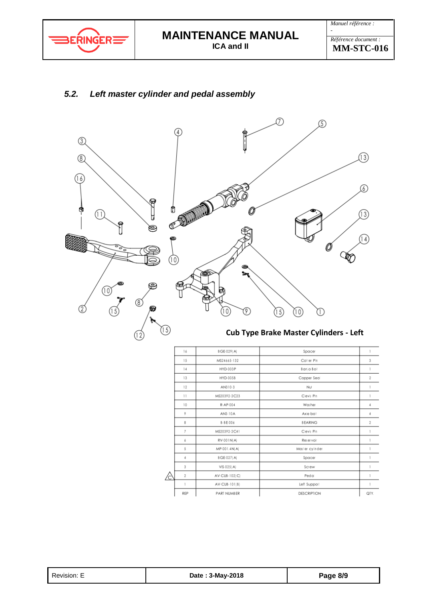

*Référence document :* **MM-STC-016**

# *5.2. Left master cylinder and pedal assembly*



| 16  | BGE-029(A)        | Spacer             |                |
|-----|-------------------|--------------------|----------------|
| 15  | MS24665-132       | Cotter Pin         | 3              |
| 14  | HYD-003P          | Banjo Bolt         |                |
| 13  | HYD-005B          | Copper Seal        | $\overline{2}$ |
| 12  | AN310-3           | Nur                |                |
| 11  | MS20392-2C23      | Clevis Pin         |                |
| 10  | R-AP-004          | Washer             | 4              |
| 9   | AN3-10A           | Axle bolt          | 4              |
| 8   | B-BE-006          | <b>BEARING</b>     | $\overline{2}$ |
| 7   | MS20392-2C41      | Clevis Pin         |                |
| 6   | RV-001N(A)        | Reservoir          |                |
| 5   | MP-001.4N[A]      | Master cylinder    |                |
| 4   | <b>BGE-027(A)</b> | Spacer             |                |
| 3   | VIS·025 A         | Screw              |                |
| 2   | AV-CUB-102 C)     | Pedal              |                |
|     | AV-CUB-101 [B]    | Left Support       |                |
| REP | PART NUMBER       | <b>DESCRIPTION</b> | QTY.           |

| Page 8/9<br>Revision: E<br>Date: 3-May-2018 |  |
|---------------------------------------------|--|
|---------------------------------------------|--|